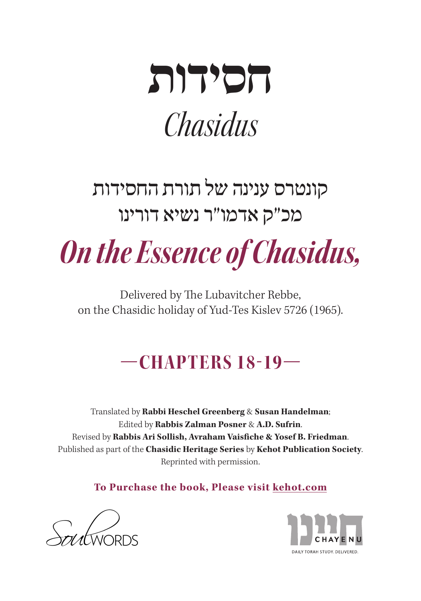

# קונטרס ענינה של תורת החסידות מכ"ק אדמו"ר נשיא דורינו

**On the Essence of Chasidus,** 

Delivered by The Lubavitcher Rebbe, on the Chasidic holiday of Yud-Tes Kislev 5726 (1965).

# **—18-19 CHAPTERS—**

Translated by Rabbi Heschel Greenberg & Susan Handelman; Edited by **Rabbis Zalman Posner & A.D. Sufrin.** Revised by Rabbis Ari Sollish, Avraham Vaisfiche & Yosef B. Friedman. Published as part of the **Chasidic Heritage Series** by **Kehot Publication Society**. Reprinted with permission.

**To Purchase the book, Please visit kehot.com** 



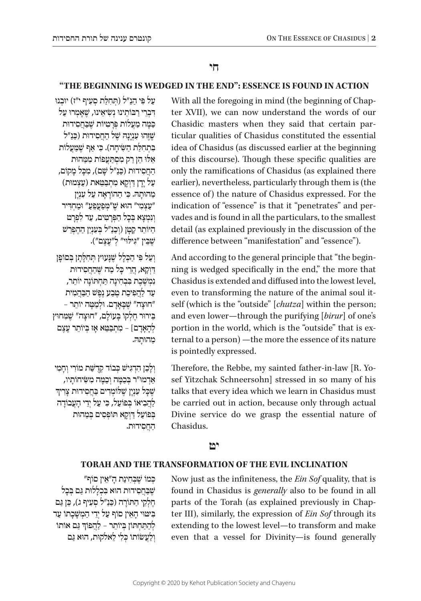## **חי**

### **"THE BEGINNING IS WEDGED IN THE END": ESSENCE IS FOUND IN ACTION**

With all the foregoing in mind (the beginning of Chapter XVII), we can now understand the words of our ticular qualities of Chasidus constituted the essential Chasidic masters when they said that certain paridea of Chasidus (as discussed earlier at the beginning of this discourse). Though these specific qualities are only the ramifications of Chasidus (as explained there earlier), nevertheless, particularly through them is (the essence of) the nature of Chasidus expressed. For the vades and is found in all the particulars, to the smallest indication of "essence" is that it "penetrates" and perdetail (as explained previously in the discussion of the difference between "manifestation" and "essence").

ning is wedged specifically in the end," the more that And according to the general principle that "the begin-Chasidus is extended and diffused into the lowest level, self (which is the "outside" [*chutza*] within the person; even to transforming the nature of the animal soul itand even lower—through the purifying [birur] of one's ternal to a person) —the more the essence of its nature portion in the world, which is the "outside" that is exis pointedly expressed.

sef Yitzchak Schneersohn] stressed in so many of his Therefore, the Rebbe, my sainted father-in-law [R. Yotalks that every idea which we learn in Chasidus must be carried out in action, because only through actual Divine service do we grasp the essential nature of .Chasidus

#### **יט**

#### **TORAH AND THE TRANSFORMATION OF THE EVIL INCLINATION**

יִנְ מוֹ מוֹרְ מוֹ הָ מוֹרָ מוֹרָ ה שׁבּחסידוּת הוּא בּכללוּת גּם בּכל ְחֵלְקֵי הַתּוֹרָה (כַּנַ״ל סְעָיף ג), כֵּן גַּם ּבִּיטּוּי הַאֵין סוֹף עַל יְדֵי הַמְשַׁבַתוֹ עַד ְלְהַתַּחְתּוֹן בְּיוֹתֵר – לַהֲפוֹךְ גַּם אוֹתוֹ וְלַעֲשׂוֹתוֹ כִּלִי לֵאלֹקוּת, הוּא גַם Now just as the infiniteness, the *Ein Sof* quality, that is found in Chasidus is *generally* also to be found in all ter III), similarly, the expression of *Ein Sof* through its parts of the Torah (as explained previously in Chapextending to the lowest level-to transform and make even that a vessel for Divinity-is found generally

ּ עַל פִּי הַנַ"ל (תְּחָלַת סְעָיף י"ז) יוּבְנוּ דִּבְרִי רַבּוֹתֵינוּ נְשִׂיאֵינוּ, שֵׁאֲמְרוּ עַל ּכ ּ ַ מ ָֹ ה מַ עֲ לו ּ ת פְּ רָ טִ יֹו ׁת ש ּ ֶ בַּ חֲ סִ ידות ֿשֵׁזהוּ עִנְיַנַהּ שֵׁל הַחֲסִידוּת (כַּנַ"ל ּ בִּתְחַלְּת הִשִּׂיחָה). כֵּי אַף שַׁמַעֲלוֹת אֵלוּ הֵן רַק מִסְתַּעֲפוֹת מִמֵּהוּת ּ הַ חֲ סִ ידו ּ ת )כ ַׁ נַ "ל ש ּ ָ ם(, מִ כ ֹ ָ ל מָ קום, ֿ עַל יַדַן דַּוְקַא מְתִבְּטֵּאת (עַצְמוּת) ּמַהוּתַהּ. כִּי הַהוֹרַאֵה עַל עָנְיַן ּ "עַ צְ מִ י" הו ׁא ש ֶּ "מ ְּ פַ עֲ פֵ עַ " ו ּ מַ חְ ד ִ יר וִנְמִצְא בִּכֵל הַפֵּרְטֵים, עַד לִפְרָט הַיּוֹתֵר קַטָּן (וִכַנַ"ל בִּעָנְיַן הַהֲפְרֵשׁ ׁש ּ ֶ בֵּ ין "ג ּ ִ יל ּוי" לְ "עֶ צֶ ם"(.

וְעַל פִּי הַכְּלַל שֵׁנַּעוּץ תְּחִלַתַן בְּסוֹפֵן ּד ָ ַ וְ ק ּ א, הֲ רֵ י כ ָּׁ ל מַ ה ש ּ ֶ הַ חֲ סִ ידות <sup>וַ</sup>נְמְשֶׁבֶת בְּבְחִינָה תַּחְתּוֹנֵה יוֹתֵר, ֿעַר לַהֲפִיכַת מֵבָע נֵפֵּשׁ הַבַּהֲמִית חוּצָה" שֶׁבָּאָדָם. וּלְמַטָּה יוֹתֵר -ּ בֵּירוּר חֱלְקוֹ בַּעוֹלֵם, "חוּצַה" שֵׁמַּחוּץ ּ לְהָאֲדָם] – מְתִבָּטֵא אָז בְּיוֹתֵר עָצֶם ּ מַ הו ּתָ ה.

וְלָכֵן הִדְגִּישׁ כִּבוֹד קִדְשַׁת מוֹרִי וְחַמְי אַדְמוּ״ר בְּכַמְּה וְכַמְּה מִשִׂיחוֹתָיו,<br>שֶׁכָּל עִנְיָן שֶׁלּוֹמְדִים בַּחֲסִידוּת צָרִידִּ לַהֲבִיאוֹ בְּפוֹעַל, כִּי עַל יְדֵי הַעֲבוֹדַה בְּפוֹעַל דַּוְקָא תּוֹפְסִים בְּמֵהוּת ּ הַ חֲ סִ ידות.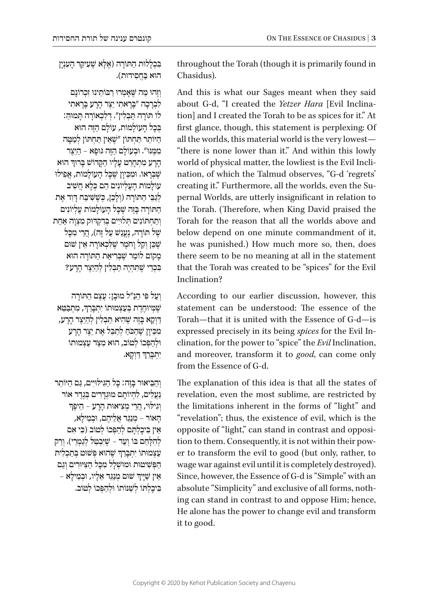בִּכְלִיּת הַתּוֹרָה (אֶלְא שֶׁעִיקַר הָעִנְיָן ּהו ּ א בַּ חֲ סִ ידות(.

וְזֶהוּ מֵה שֵׁאֲמְרוּ רַבּוֹתֵינוּ זְכְרוֹנַם לִבְרָכָה "בָּרָאתִי יֵצֶר הָרָע בָּרָאתִי ֹלוֹ תּוֹרַה תַּבְלִין". דִּלְבְאוֹרַה תַּמוּהַ: בְּכָל הַעוֹלַמוֹת, עוֹלָם הַזֶּה הוּא ּהַ יֹו ּ תֵ ר ת ַּ חְ תֹו ׁ ן "ש ֶּ אֵ ין ת ַּ חְ תֹו ּ ן לְ מַ טָ ה ּמִ מ ּ ֶ נּו ּ ". ו ֹ בְ עו ּ לָ ם הַ ז ּ ֶה גּו ּ פָ א – הַ יֵצֶ ר ֺ֧֧֧֖֖ׅ֧ׅ֧ׅ֧ׅ֧ׅ֧ׅ֧ׅ֧֧ׅ֧֚֚֚֚֚֚֚֚֚֚֚֚֚֚֚֚֚֚֚֚֚֚֚֚֚֚֚֝֜֝֜֜֜֝֬֝ הָרָע מִתְחָרֵט עָלְיו הַקָּרוֹשׁ בָּרוּךְ הוא ָ ֹשְׁבַּרָאוֹ. וּמִכֵּיוַן שָׁבַל הַעוֹלַמוֹת, אַפִּילוּ ֹעו ֹ לָ מו ֹ ת הָ עֶ לְ יו ּ נִ ים הֵ ם כ ְׁ לָ א חֲ שִ יב לגבי התּוֹרה (ולכן, כּשׁשׁיבּח דּוד את ּהַ תֹו ׁ רָ ה בָּ זֶה ש ּ ֶ כ ָֹ ל הָ עו ֹ לָ מו ֹ ת עֶ לְ יונִ ים וְתַחְתּוֹנִים תְּלוּיִים בְּדִקְדּוּק מִצְוָה אֲחַת  $\dot{y}$ של תּוֹרָה, נֶעֱנַשׁ עַל זֶה), הֲרֵי מִכַּל ֿשָׁבֵּן וְקַל וַחֹמֵר שַׁלְּכָאוֹרָה אֵין שׁוּם ֹמָ קו ֹ ם לו ׁ מַ ר ש ֶּ בְּ רִ יאַ ת הַ תֹו ּ רָ ה הוא ׁ בִּ כְ דֵ י ש ּ ֶ ת ּ ִ הְ יֶה ת ַּ בְ לִ ין לְ הַ יֵצֶ ר הָ רָ ע?

ּ וְ עַ ל פִּ י הַ נַ "ל מו ּ בָ ן: עֶ צֶ ם הַ תֹורָ ה ְּשֶׁמְּיוּחֶדֶת בְּעַצְמוּתוֹ יִתְבְּרֵךְ, מִתְבַּטֵּא ַ רַּוְקָא בָּזֶה שֵׁהִיא תַּבִלְין לְהַיֵּצֵר הָרָע, ִמְּבֵיוָן שֶׁהַכֹּחַ לְתַבֵּל אֶת יֵצֶר הָרָע וּלְהַפְּכוֹ לְטוֹב, הוּא מִצַּד עַצְמוּתוֹ ֧֧֧֧֦֧֢ׅ֧֚֝֝<u>֓</u> ּיִתְבְּרֵךְ דַוְקָא.

ּ וְ הַ בֵּ יאו ּ ר בָּ זֶה: כ ָּ ל הַ ג ּ ִ יל ּו ּ יִים, ג ּ ַ ם הַ יֹותֵ ר **ַ נַעֲלִים, לִהְיוֹתֵם מוּגְדֵרים בְּגֶדֵר אוֹר** ּ וְ גִ יל ּו ּ י, הֲ רֵ י מְ צִ יאות הָ רָ ע – הֵ יפֶ ך הָאוֹר – מִנְגַּד אַלִיהֶם, וּבְמִילִא,  $\epsilon$ אֵין בִּיכֵלְתֵּם לְהַפְּכוֹ לְטוֹב (כִּי אִם לְהִלָּחֵם בּוֹ וְעָד – שֵׁיִּבְטֵל לְגַמְרִי). וְרַק ְעַצְמוּתוֹ יִתְבְּרֵךְ שֶׁהוּא פְּשׁוּט בְּתַכְלִית ׁ הַ פְּ ש ּ ִ יטו ּת ו ּמו ׁש ּ ְ לָ ל מִ כ ָּ ל הַ צּ ִ י ּורִ ים וְ גַ ם ְּ אֵין שַׁיָּיךָ שׁוּם מְנַגֵּד אֵלָיו, וּבְמֵילָא ּ בִּ יכָ לְ תֹו ׁ לְ שּ ַ נֹו ֹתו ּ ו ֹ לְ הַ פְּ כו ֹ לְ טוב.

throughout the Torah (though it is primarily found in Chasidus).

And this is what our Sages meant when they said tion] and I created the Torah to be as spices for it." At about G-d, "I created the Yetzer Hara [Evil Inclinafirst glance, though, this statement is perplexing: Of all the worlds, this material world is the very lowest-"there is none lower than it." And within this lowly nation, of which the Talmud observes, "G-d 'regrets' world of physical matter, the lowliest is the Evil Inclipernal Worlds, are utterly insignificant in relation to creating it." Furthermore, all the worlds, even the Suthe Torah. (Therefore, when King David praised the Torah for the reason that all the worlds above and below depend on one minute commandment of it. he was punished.) How much more so, then, does there seem to be no meaning at all in the statement that the Torah was created to be "spices" for the Evil Inclination?

According to our earlier discussion, however, this statement can be understood: The essence of the Torah—that it is united with the Essence of G-d—is clination, for the power to "spice" the *Evil* Inclination, expressed precisely in its being *spices* for the Evil Inand moreover, transform it to good, can come only from the Essence of G-d.

The explanation of this idea is that all the states of revelation, even the most sublime, are restricted by the limitations inherent in the forms of "light" and "revelation": thus, the existence of evil, which is the er to transform the evil to good (but only, rather, to tion to them. Consequently, it is not within their powopposite of "light," can stand in contrast and opposiwage war against evil until it is completely destroyed). Since, however, the Essence of G-d is "Simple" with an ing can stand in contrast to and oppose Him; hence, absolute "Simplicity" and exclusive of all forms, noth-He alone has the power to change evil and transform it to good.